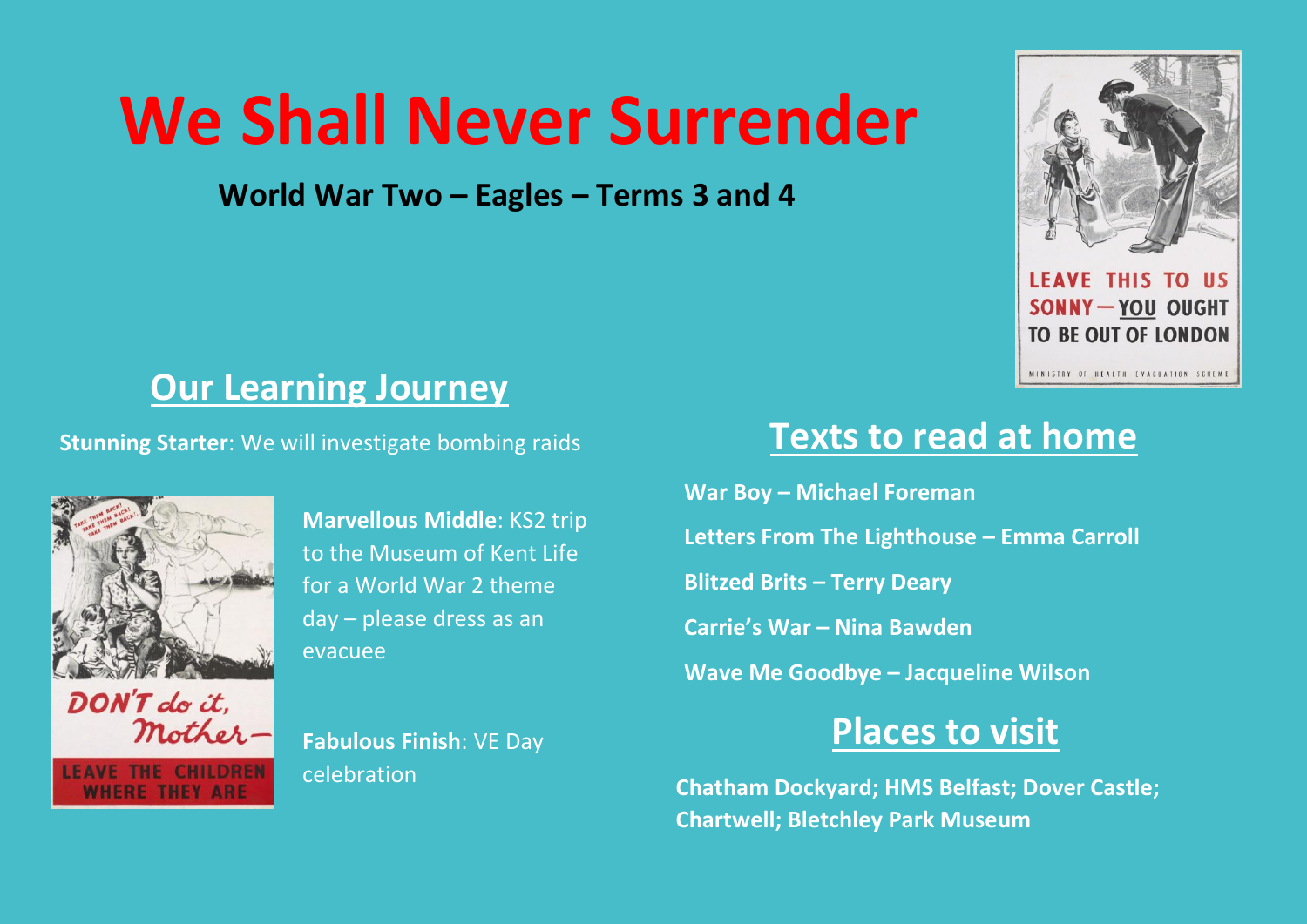# **We Shall Never Surrender**

**World War Two – Eagles – Terms 3 and 4**



**LEAVE THIS TO US SONNY-YOU OUGHT TO BE OUT OF LONDON** 

MINISTRY OF HEALTH EVACUATION SCHEME

### **Our Learning Journey**

**Stunning Starter:** We will investigate bombing raids **Texts to read at home** 



**WHERE THEY ARE** 

**Marvellous Middle**: KS2 trip to the Museum of Kent Life for a World War 2 theme day – please dress as an evacuee

mother-**Fabulous Finish**: VE Day celebration

**War Boy – Michael Foreman Letters From The Lighthouse – Emma Carroll Blitzed Brits – Terry Deary Carrie's War – Nina Bawden Wave Me Goodbye – Jacqueline Wilson**

## **Places to visit**

**Chatham Dockyard; HMS Belfast; Dover Castle; Chartwell; Bletchley Park Museum**